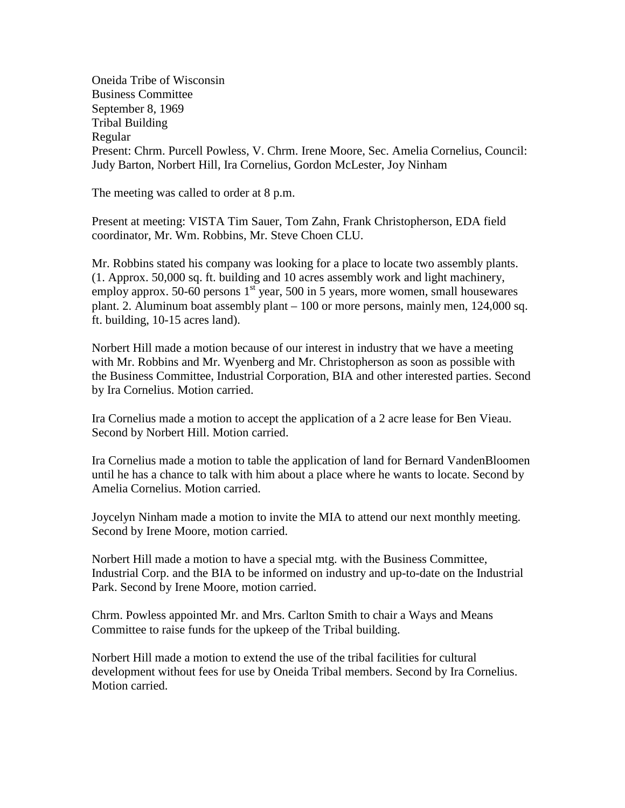Oneida Tribe of Wisconsin Business Committee September 8, 1969 Tribal Building Regular Present: Chrm. Purcell Powless, V. Chrm. Irene Moore, Sec. Amelia Cornelius, Council: Judy Barton, Norbert Hill, Ira Cornelius, Gordon McLester, Joy Ninham

The meeting was called to order at 8 p.m.

Present at meeting: VISTA Tim Sauer, Tom Zahn, Frank Christopherson, EDA field coordinator, Mr. Wm. Robbins, Mr. Steve Choen CLU.

Mr. Robbins stated his company was looking for a place to locate two assembly plants. (1. Approx. 50,000 sq. ft. building and 10 acres assembly work and light machinery, employ approx. 50-60 persons  $1<sup>st</sup>$  year, 500 in 5 years, more women, small housewares plant. 2. Aluminum boat assembly plant – 100 or more persons, mainly men, 124,000 sq. ft. building, 10-15 acres land).

Norbert Hill made a motion because of our interest in industry that we have a meeting with Mr. Robbins and Mr. Wyenberg and Mr. Christopherson as soon as possible with the Business Committee, Industrial Corporation, BIA and other interested parties. Second by Ira Cornelius. Motion carried.

Ira Cornelius made a motion to accept the application of a 2 acre lease for Ben Vieau. Second by Norbert Hill. Motion carried.

Ira Cornelius made a motion to table the application of land for Bernard VandenBloomen until he has a chance to talk with him about a place where he wants to locate. Second by Amelia Cornelius. Motion carried.

Joycelyn Ninham made a motion to invite the MIA to attend our next monthly meeting. Second by Irene Moore, motion carried.

Norbert Hill made a motion to have a special mtg. with the Business Committee, Industrial Corp. and the BIA to be informed on industry and up-to-date on the Industrial Park. Second by Irene Moore, motion carried.

Chrm. Powless appointed Mr. and Mrs. Carlton Smith to chair a Ways and Means Committee to raise funds for the upkeep of the Tribal building.

Norbert Hill made a motion to extend the use of the tribal facilities for cultural development without fees for use by Oneida Tribal members. Second by Ira Cornelius. Motion carried.